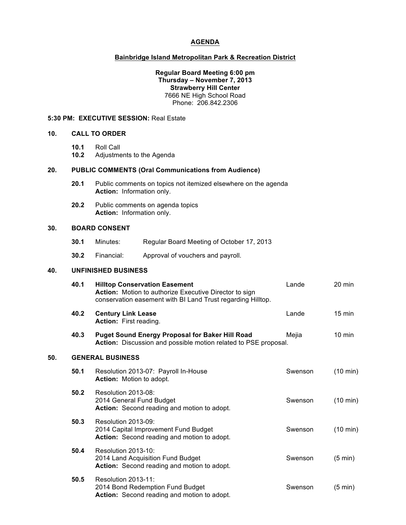### **AGENDA**

## **Bainbridge Island Metropolitan Park & Recreation District**

#### **Regular Board Meeting 6:00 pm Thursday – November 7, 2013 Strawberry Hill Center** 7666 NE High School Road Phone: 206.842.2306

#### **5:30 PM: EXECUTIVE SESSION:** Real Estate

- **10. CALL TO ORDER**
	- **10.1** Roll Call
	- **10.2** Adjustments to the Agenda

#### **20. PUBLIC COMMENTS (Oral Communications from Audience)**

- **20.1** Public comments on topics not itemized elsewhere on the agenda **Action:** Information only.
- **20.2** Public comments on agenda topics **Action:** Information only.

### **30. BOARD CONSENT**

- **30.1** Minutes: Regular Board Meeting of October 17, 2013
- **30.2** Financial: Approval of vouchers and payroll.

### **40. UNFINISHED BUSINESS**

|     | 40.1 | <b>Hilltop Conservation Easement</b><br>Action: Motion to authorize Executive Director to sign<br>conservation easement with BI Land Trust regarding Hilltop. | Lande   | 20 min             |
|-----|------|---------------------------------------------------------------------------------------------------------------------------------------------------------------|---------|--------------------|
|     | 40.2 | <b>Century Link Lease</b><br>Action: First reading.                                                                                                           | Lande   | $15 \text{ min}$   |
|     | 40.3 | <b>Puget Sound Energy Proposal for Baker Hill Road</b><br>Action: Discussion and possible motion related to PSE proposal.                                     | Mejia   | $10$ min           |
| 50. |      | <b>GENERAL BUSINESS</b>                                                                                                                                       |         |                    |
|     | 50.1 | Resolution 2013-07: Payroll In-House<br>Action: Motion to adopt.                                                                                              | Swenson | $(10 \text{ min})$ |
|     | 50.2 | Resolution 2013-08:<br>2014 General Fund Budget<br>Action: Second reading and motion to adopt.                                                                | Swenson | $(10 \text{ min})$ |
|     | 50.3 | Resolution 2013-09:<br>2014 Capital Improvement Fund Budget<br>Action: Second reading and motion to adopt.                                                    | Swenson | $(10 \text{ min})$ |
|     | 50.4 | Resolution 2013-10:<br>2014 Land Acquisition Fund Budget<br>Action: Second reading and motion to adopt.                                                       | Swenson | $(5 \text{ min})$  |
|     | 50.5 | Resolution 2013-11:<br>2014 Bond Redemption Fund Budget<br>Action: Second reading and motion to adopt.                                                        | Swenson | $(5 \text{ min})$  |